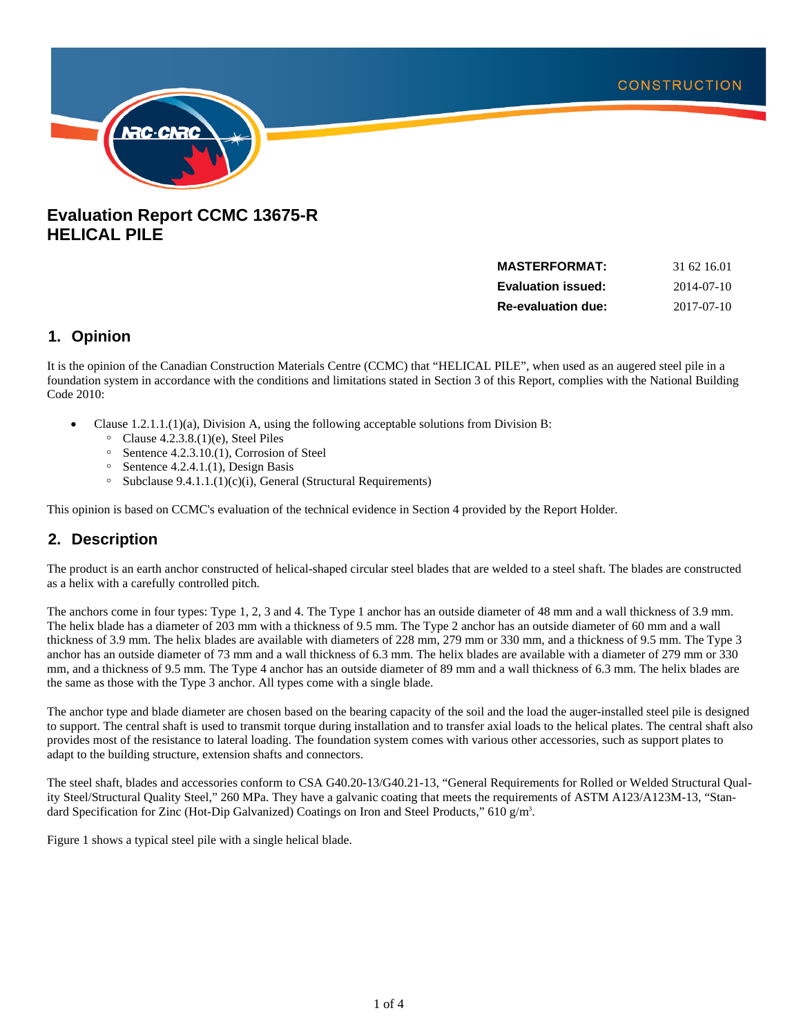

# **Evaluation Report CCMC 13675-R HELICAL PILE**

| <b>MASTERFORMAT:</b>      | 31 62 16.01 |
|---------------------------|-------------|
| <b>Evaluation issued:</b> | 2014-07-10  |
| <b>Re-evaluation due:</b> | 2017-07-10  |

### **1. Opinion**

It is the opinion of the Canadian Construction Materials Centre (CCMC) that "HELICAL PILE", when used as an augered steel pile in a foundation system in accordance with the conditions and limitations stated in Section 3 of this Report, complies with the National Building Code 2010:

- Clause  $1.2.1.1(1)(a)$ , Division A, using the following acceptable solutions from Division B:
	- $\degree$  Clause 4.2.3.8.(1)(e), Steel Piles
	- $\degree$  Sentence 4.2.3.10.(1), Corrosion of Steel
	- $\degree$  Sentence 4.2.4.1.(1), Design Basis
	- $\circ$  Subclause 9.4.1.1.(1)(c)(i), General (Structural Requirements)

This opinion is based on CCMC's evaluation of the technical evidence in Section 4 provided by the Report Holder.

## **2. Description**

The product is an earth anchor constructed of helical-shaped circular steel blades that are welded to a steel shaft. The blades are constructed as a helix with a carefully controlled pitch.

The anchors come in four types: Type 1, 2, 3 and 4. The Type 1 anchor has an outside diameter of 48 mm and a wall thickness of 3.9 mm. The helix blade has a diameter of 203 mm with a thickness of 9.5 mm. The Type 2 anchor has an outside diameter of 60 mm and a wall thickness of 3.9 mm. The helix blades are available with diameters of 228 mm, 279 mm or 330 mm, and a thickness of 9.5 mm. The Type 3 anchor has an outside diameter of 73 mm and a wall thickness of 6.3 mm. The helix blades are available with a diameter of 279 mm or 330 mm, and a thickness of 9.5 mm. The Type 4 anchor has an outside diameter of 89 mm and a wall thickness of 6.3 mm. The helix blades are the same as those with the Type 3 anchor. All types come with a single blade.

The anchor type and blade diameter are chosen based on the bearing capacity of the soil and the load the auger-installed steel pile is designed to support. The central shaft is used to transmit torque during installation and to transfer axial loads to the helical plates. The central shaft also provides most of the resistance to lateral loading. The foundation system comes with various other accessories, such as support plates to adapt to the building structure, extension shafts and connectors.

The steel shaft, blades and accessories conform to CSA G40.20-13/G40.21-13, "General Requirements for Rolled or Welded Structural Quality Steel/Structural Quality Steel," 260 MPa. They have a galvanic coating that meets the requirements of ASTM A123/A123M-13, "Standard Specification for Zinc (Hot-Dip Galvanized) Coatings on Iron and Steel Products," 610 g/m<sup>3</sup>.

Figure 1 shows a typical steel pile with a single helical blade.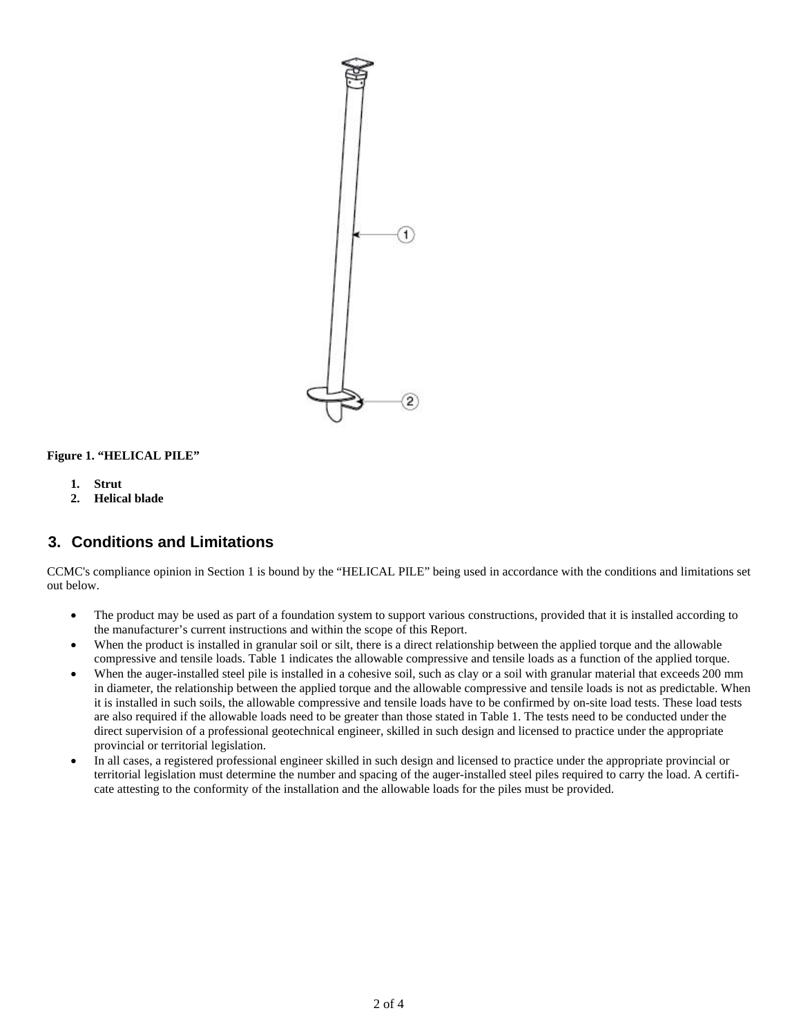

#### **Figure 1. "HELICAL PILE"**

- **1. Strut**
- **2. Helical blade**

### **3. Conditions and Limitations**

CCMC's compliance opinion in Section 1 is bound by the "HELICAL PILE" being used in accordance with the conditions and limitations set out below.

- The product may be used as part of a foundation system to support various constructions, provided that it is installed according to the manufacturer's current instructions and within the scope of this Report.
- When the product is installed in granular soil or silt, there is a direct relationship between the applied torque and the allowable compressive and tensile loads. Table 1 indicates the allowable compressive and tensile loads as a function of the applied torque.
- When the auger-installed steel pile is installed in a cohesive soil, such as clay or a soil with granular material that exceeds 200 mm in diameter, the relationship between the applied torque and the allowable compressive and tensile loads is not as predictable. When it is installed in such soils, the allowable compressive and tensile loads have to be confirmed by on-site load tests. These load tests are also required if the allowable loads need to be greater than those stated in Table 1. The tests need to be conducted under the direct supervision of a professional geotechnical engineer, skilled in such design and licensed to practice under the appropriate provincial or territorial legislation.
- In all cases, a registered professional engineer skilled in such design and licensed to practice under the appropriate provincial or territorial legislation must determine the number and spacing of the auger-installed steel piles required to carry the load. A certificate attesting to the conformity of the installation and the allowable loads for the piles must be provided.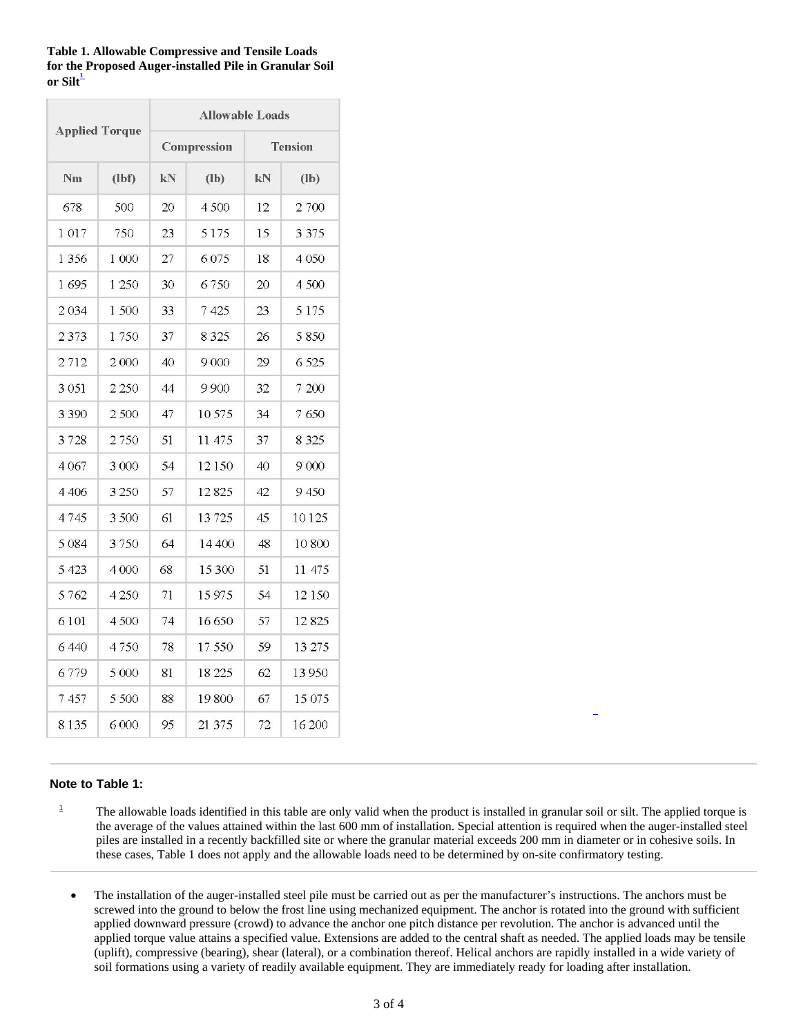| <b>Table 1. Allowable Compressive and Tensile Loads</b> |
|---------------------------------------------------------|
| for the Proposed Auger-installed Pile in Granular Soil  |
| or Silt $\overline{\phantom{a}}$                        |

|                       |         | <b>Allowable Loads</b> |         |                |         |
|-----------------------|---------|------------------------|---------|----------------|---------|
| <b>Applied Torque</b> |         | Compression            |         | <b>Tension</b> |         |
| Nm                    | (lbf)   | kN                     | $(lb)$  | kN             | $($     |
| 678                   | 500     | 20                     | 4500    | 12             | 2 700   |
| 1017                  | 750     | 23                     | 5175    | 15             | 3 3 7 5 |
| 1 3 5 6               | 1 000   | 27                     | 6 0 7 5 | 18             | 4 0 5 0 |
| 1695                  | 1 250   | 30                     | 6750    | 20             | 4 500   |
| 2034                  | 1500    | 33                     | 7 425   | 23             | 5 1 7 5 |
| 2373                  | 1750    | 37                     | 8 3 2 5 | 26             | 5 8 5 0 |
| 2712                  | 2000    | 40                     | 9000    | 29             | 6 5 25  |
| 3 0 5 1               | 2 2 5 0 | 44                     | 9900    | 32             | 7 200   |
| 3 3 9 0               | 2500    | 47                     | 10575   | 34             | 7650    |
| 3728                  | 2750    | 51                     | 11 475  | 37             | 8 3 2 5 |
| 4 0 6 7               | 3 0 0 0 | 54                     | 12150   | 40             | 9 0 0 0 |
| 4406                  | 3 2 5 0 | 57                     | 12825   | 42             | 9450    |
| 4745                  | 3500    | 61                     | 13725   | 45             | 10125   |
| 5 0 8 4               | 3750    | 64                     | 14 400  | 48             | 10 800  |
| 5 4 2 3               | 4 0 0 0 | 68                     | 15 300  | 51             | 11 475  |
| 5762                  | 4 2 5 0 | 71                     | 15975   | 54             | 12 150  |
| 6101                  | 4500    | 74                     | 16 650  | 57             | 12 825  |
| 6440                  | 4750    | 78                     | 17550   | 59             | 13 275  |
| 6779                  | 5 0 0 0 | 81                     | 18 225  | 62             | 13 950  |
| 7457                  | 5 500   | 88                     | 19800   | 67             | 15 075  |
| 8135                  | 6000    | 95                     | 21 37 5 | 72             | 16 200  |

#### **Note to Table 1:**

- 1 The allowable loads identified in this table are only valid when the product is installed in granular soil or silt. The applied torque is the average of the values attained within the last 600 mm of installation. Special attention is required when the auger-installed steel piles are installed in a recently backfilled site or where the granular material exceeds 200 mm in diameter or in cohesive soils. In these cases, Table 1 does not apply and the allowable loads need to be determined by on-site confirmatory testing.
	- The installation of the auger-installed steel pile must be carried out as per the manufacturer's instructions. The anchors must be screwed into the ground to below the frost line using mechanized equipment. The anchor is rotated into the ground with sufficient applied downward pressure (crowd) to advance the anchor one pitch distance per revolution. The anchor is advanced until the applied torque value attains a specified value. Extensions are added to the central shaft as needed. The applied loads may be tensile (uplift), compressive (bearing), shear (lateral), or a combination thereof. Helical anchors are rapidly installed in a wide variety of soil formations using a variety of readily available equipment. They are immediately ready for loading after installation.